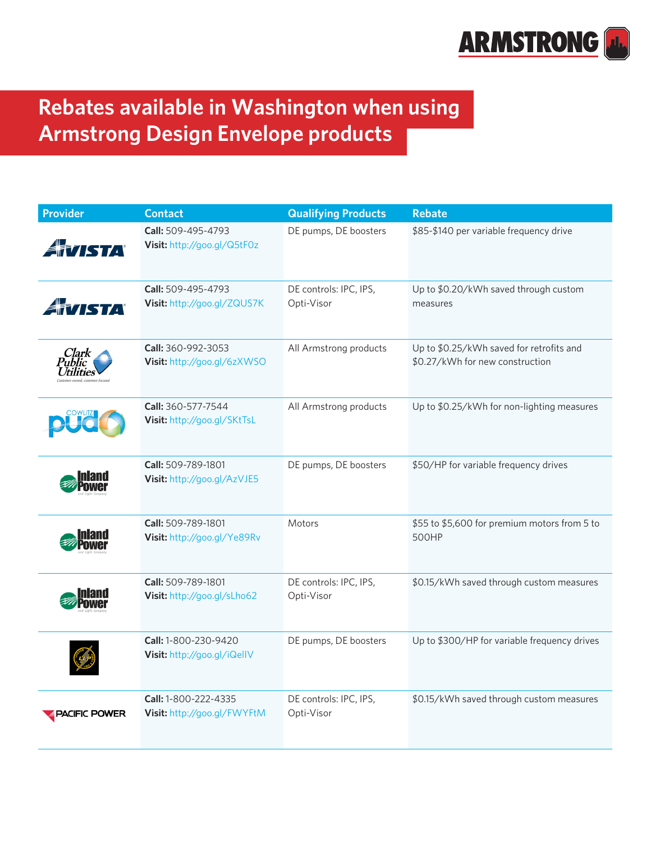

## **Rebates available in Washington when using Armstrong Design Envelope products**

| <b>Provider</b>             | <b>Contact</b>                                      | <b>Qualifying Products</b>           | <b>Rebate</b>                                                               |
|-----------------------------|-----------------------------------------------------|--------------------------------------|-----------------------------------------------------------------------------|
| ATISTA                      | Call: 509-495-4793<br>Visit: http://goo.gl/Q5tF0z   | DE pumps, DE boosters                | \$85-\$140 per variable frequency drive                                     |
| ATISTA                      | Call: 509-495-4793<br>Visit: http://goo.gl/ZQUS7K   | DE controls: IPC, IPS,<br>Opti-Visor | Up to \$0.20/kWh saved through custom<br>measures                           |
| Clark<br>Public<br>tilities | Call: 360-992-3053<br>Visit: http://goo.gl/6zXWSO   | All Armstrong products               | Up to \$0.25/kWh saved for retrofits and<br>\$0.27/kWh for new construction |
|                             | Call: 360-577-7544<br>Visit: http://goo.gl/SKtTsL   | All Armstrong products               | Up to \$0.25/kWh for non-lighting measures                                  |
|                             | Call: 509-789-1801<br>Visit: http://goo.gl/AzVJE5   | DE pumps, DE boosters                | \$50/HP for variable frequency drives                                       |
|                             | Call: 509-789-1801<br>Visit: http://goo.gl/Ye89Rv   | Motors                               | \$55 to \$5,600 for premium motors from 5 to<br>500HP                       |
|                             | Call: 509-789-1801<br>Visit: http://goo.gl/sLho62   | DE controls: IPC, IPS,<br>Opti-Visor | \$0.15/kWh saved through custom measures                                    |
|                             | Call: 1-800-230-9420<br>Visit: http://goo.gl/iQellV | DE pumps, DE boosters                | Up to \$300/HP for variable frequency drives                                |
| PACIFIC POWER               | Call: 1-800-222-4335<br>Visit: http://goo.gl/FWYFtM | DE controls: IPC, IPS,<br>Opti-Visor | \$0.15/kWh saved through custom measures                                    |